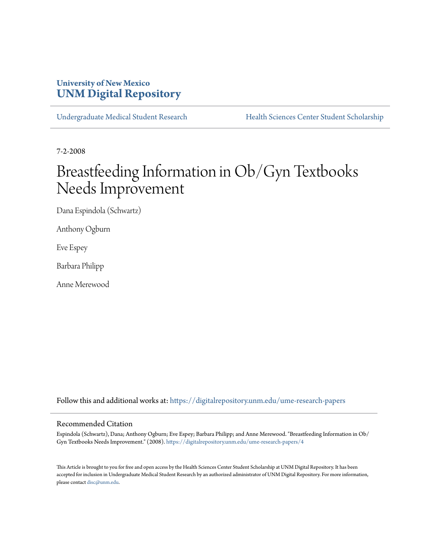## **University of New Mexico [UNM Digital Repository](https://digitalrepository.unm.edu?utm_source=digitalrepository.unm.edu%2Fume-research-papers%2F4&utm_medium=PDF&utm_campaign=PDFCoverPages)**

[Undergraduate Medical Student Research](https://digitalrepository.unm.edu/ume-research-papers?utm_source=digitalrepository.unm.edu%2Fume-research-papers%2F4&utm_medium=PDF&utm_campaign=PDFCoverPages) [Health Sciences Center Student Scholarship](https://digitalrepository.unm.edu/hsc-students?utm_source=digitalrepository.unm.edu%2Fume-research-papers%2F4&utm_medium=PDF&utm_campaign=PDFCoverPages)

7-2-2008

# Breastfeeding Information in Ob/Gyn Textbooks Needs Improvement

Dana Espindola (Schwartz)

Anthony Ogburn

Eve Espey

Barbara Philipp

Anne Merewood

Follow this and additional works at: [https://digitalrepository.unm.edu/ume-research-papers](https://digitalrepository.unm.edu/ume-research-papers?utm_source=digitalrepository.unm.edu%2Fume-research-papers%2F4&utm_medium=PDF&utm_campaign=PDFCoverPages)

#### Recommended Citation

Espindola (Schwartz), Dana; Anthony Ogburn; Eve Espey; Barbara Philipp; and Anne Merewood. "Breastfeeding Information in Ob/ Gyn Textbooks Needs Improvement." (2008). [https://digitalrepository.unm.edu/ume-research-papers/4](https://digitalrepository.unm.edu/ume-research-papers/4?utm_source=digitalrepository.unm.edu%2Fume-research-papers%2F4&utm_medium=PDF&utm_campaign=PDFCoverPages)

This Article is brought to you for free and open access by the Health Sciences Center Student Scholarship at UNM Digital Repository. It has been accepted for inclusion in Undergraduate Medical Student Research by an authorized administrator of UNM Digital Repository. For more information, please contact [disc@unm.edu.](mailto:disc@unm.edu)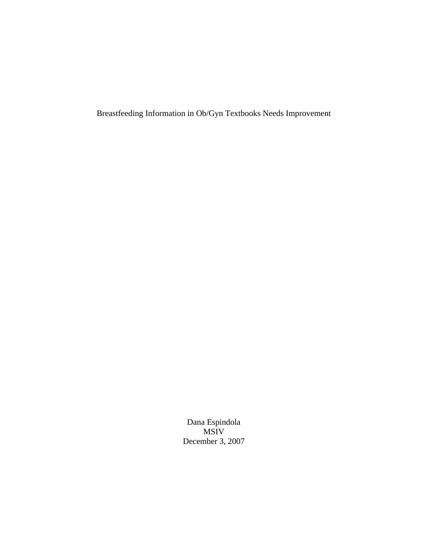Breastfeeding Information in Ob/Gyn Textbooks Needs Improvement

Dana Espindola MSIV December 3, 2007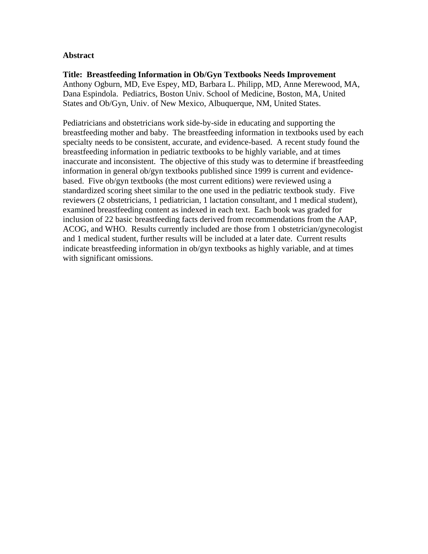### **Abstract**

#### **Title: Breastfeeding Information in Ob/Gyn Textbooks Needs Improvement**  Anthony Ogburn, MD, Eve Espey, MD, Barbara L. Philipp, MD, Anne Merewood, MA, Dana Espindola. Pediatrics, Boston Univ. School of Medicine, Boston, MA, United States and Ob/Gyn, Univ. of New Mexico, Albuquerque, NM, United States.

Pediatricians and obstetricians work side-by-side in educating and supporting the breastfeeding mother and baby. The breastfeeding information in textbooks used by each specialty needs to be consistent, accurate, and evidence-based. A recent study found the breastfeeding information in pediatric textbooks to be highly variable, and at times inaccurate and inconsistent. The objective of this study was to determine if breastfeeding information in general ob/gyn textbooks published since 1999 is current and evidencebased. Five ob/gyn textbooks (the most current editions) were reviewed using a standardized scoring sheet similar to the one used in the pediatric textbook study. Five reviewers (2 obstetricians, 1 pediatrician, 1 lactation consultant, and 1 medical student), examined breastfeeding content as indexed in each text. Each book was graded for inclusion of 22 basic breastfeeding facts derived from recommendations from the AAP, ACOG, and WHO. Results currently included are those from 1 obstetrician/gynecologist and 1 medical student, further results will be included at a later date. Current results indicate breastfeeding information in ob/gyn textbooks as highly variable, and at times with significant omissions.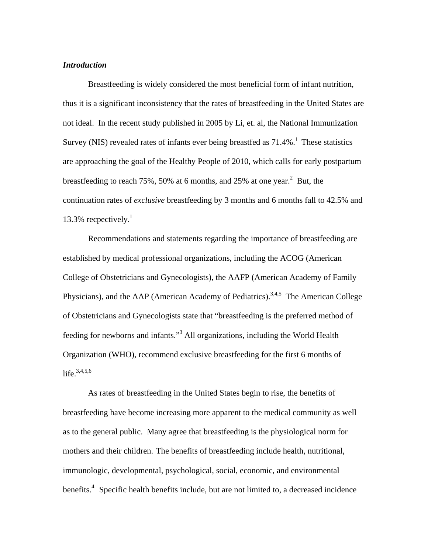#### *Introduction*

 Breastfeeding is widely considered the most beneficial form of infant nutrition, thus it is a significant inconsistency that the rates of breastfeeding in the United States are not ideal. In the recent study published in 2005 by Li, et. al, the National Immunization Survey (NIS) revealed rates of infants ever being breastfed as  $71.4\%$ .<sup>1</sup> These statistics are approaching the goal of the Healthy People of 2010, which calls for early postpartum breastfeeding to reach 75%, 50% at 6 months, and 25% at one year.<sup>2</sup> But, the continuation rates of *exclusive* breastfeeding by 3 months and 6 months fall to 42.5% and 13.3% recpectively. $<sup>1</sup>$ </sup>

 Recommendations and statements regarding the importance of breastfeeding are established by medical professional organizations, including the ACOG (American College of Obstetricians and Gynecologists), the AAFP (American Academy of Family Physicians), and the AAP (American Academy of Pediatrics).<sup>3,4,5</sup> The American College of Obstetricians and Gynecologists state that "breastfeeding is the preferred method of feeding for newborns and infants."<sup>3</sup> All organizations, including the World Health Organization (WHO), recommend exclusive breastfeeding for the first 6 months of life.<sup>3,4,5,6</sup>

As rates of breastfeeding in the United States begin to rise, the benefits of breastfeeding have become increasing more apparent to the medical community as well as to the general public. Many agree that breastfeeding is the physiological norm for mothers and their children. The benefits of breastfeeding include health, nutritional, immunologic, developmental, psychological, social, economic, and environmental benefits.<sup>4</sup> Specific health benefits include, but are not limited to, a decreased incidence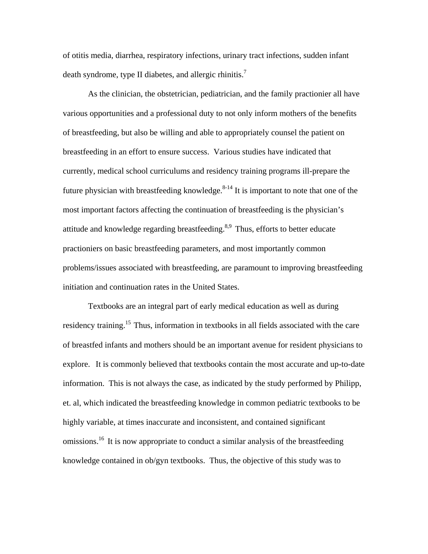of otitis media, diarrhea, respiratory infections, urinary tract infections, sudden infant death syndrome, type II diabetes, and allergic rhinitis.<sup>7</sup>

 As the clinician, the obstetrician, pediatrician, and the family practionier all have various opportunities and a professional duty to not only inform mothers of the benefits of breastfeeding, but also be willing and able to appropriately counsel the patient on breastfeeding in an effort to ensure success. Various studies have indicated that currently, medical school curriculums and residency training programs ill-prepare the future physician with breastfeeding knowledge.<sup>8-14</sup> It is important to note that one of the most important factors affecting the continuation of breastfeeding is the physician's attitude and knowledge regarding breastfeeding.<sup>8,9</sup> Thus, efforts to better educate practioniers on basic breastfeeding parameters, and most importantly common problems/issues associated with breastfeeding, are paramount to improving breastfeeding initiation and continuation rates in the United States.

 Textbooks are an integral part of early medical education as well as during residency training.<sup>15</sup> Thus, information in textbooks in all fields associated with the care of breastfed infants and mothers should be an important avenue for resident physicians to explore. It is commonly believed that textbooks contain the most accurate and up-to-date information. This is not always the case, as indicated by the study performed by Philipp, et. al, which indicated the breastfeeding knowledge in common pediatric textbooks to be highly variable, at times inaccurate and inconsistent, and contained significant omissions.<sup>16</sup> It is now appropriate to conduct a similar analysis of the breastfeeding knowledge contained in ob/gyn textbooks. Thus, the objective of this study was to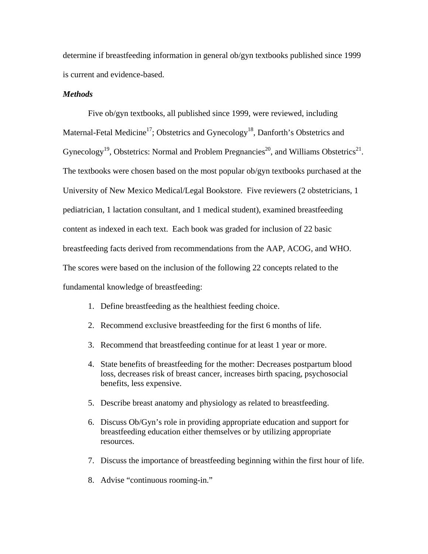determine if breastfeeding information in general ob/gyn textbooks published since 1999 is current and evidence-based.

#### *Methods*

 Five ob/gyn textbooks, all published since 1999, were reviewed, including Maternal-Fetal Medicine<sup>17</sup>; Obstetrics and Gynecology<sup>18</sup>, Danforth's Obstetrics and Gynecology<sup>19</sup>, Obstetrics: Normal and Problem Pregnancies<sup>20</sup>, and Williams Obstetrics<sup>21</sup>. The textbooks were chosen based on the most popular ob/gyn textbooks purchased at the University of New Mexico Medical/Legal Bookstore. Five reviewers (2 obstetricians, 1 pediatrician, 1 lactation consultant, and 1 medical student), examined breastfeeding content as indexed in each text. Each book was graded for inclusion of 22 basic breastfeeding facts derived from recommendations from the AAP, ACOG, and WHO. The scores were based on the inclusion of the following 22 concepts related to the fundamental knowledge of breastfeeding:

- 1. Define breastfeeding as the healthiest feeding choice.
- 2. Recommend exclusive breastfeeding for the first 6 months of life.
- 3. Recommend that breastfeeding continue for at least 1 year or more.
- 4. State benefits of breastfeeding for the mother: Decreases postpartum blood loss, decreases risk of breast cancer, increases birth spacing, psychosocial benefits, less expensive.
- 5. Describe breast anatomy and physiology as related to breastfeeding.
- 6. Discuss Ob/Gyn's role in providing appropriate education and support for breastfeeding education either themselves or by utilizing appropriate resources.
- 7. Discuss the importance of breastfeeding beginning within the first hour of life.
- 8. Advise "continuous rooming-in."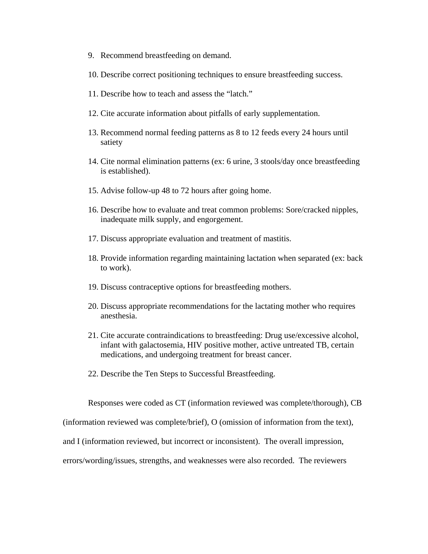- 9. Recommend breastfeeding on demand.
- 10. Describe correct positioning techniques to ensure breastfeeding success.
- 11. Describe how to teach and assess the "latch."
- 12. Cite accurate information about pitfalls of early supplementation.
- 13. Recommend normal feeding patterns as 8 to 12 feeds every 24 hours until satiety
- 14. Cite normal elimination patterns (ex: 6 urine, 3 stools/day once breastfeeding is established).
- 15. Advise follow-up 48 to 72 hours after going home.
- 16. Describe how to evaluate and treat common problems: Sore/cracked nipples, inadequate milk supply, and engorgement.
- 17. Discuss appropriate evaluation and treatment of mastitis.
- 18. Provide information regarding maintaining lactation when separated (ex: back to work).
- 19. Discuss contraceptive options for breastfeeding mothers.
- 20. Discuss appropriate recommendations for the lactating mother who requires anesthesia.
- 21. Cite accurate contraindications to breastfeeding: Drug use/excessive alcohol, infant with galactosemia, HIV positive mother, active untreated TB, certain medications, and undergoing treatment for breast cancer.
- 22. Describe the Ten Steps to Successful Breastfeeding.

Responses were coded as CT (information reviewed was complete/thorough), CB

(information reviewed was complete/brief), O (omission of information from the text),

and I (information reviewed, but incorrect or inconsistent). The overall impression,

errors/wording/issues, strengths, and weaknesses were also recorded. The reviewers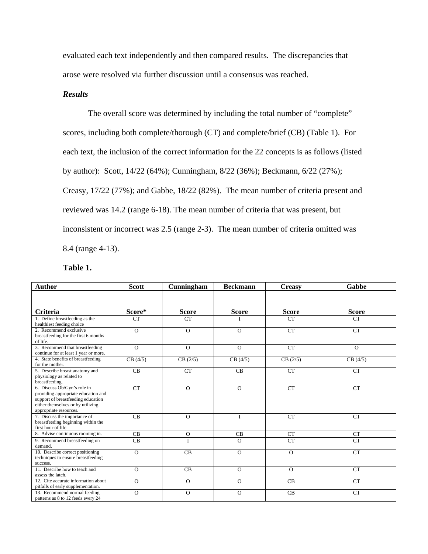evaluated each text independently and then compared results. The discrepancies that arose were resolved via further discussion until a consensus was reached.

### *Results*

 The overall score was determined by including the total number of "complete" scores, including both complete/thorough (CT) and complete/brief (CB) (Table 1). For each text, the inclusion of the correct information for the 22 concepts is as follows (listed by author): Scott, 14/22 (64%); Cunningham, 8/22 (36%); Beckmann, 6/22 (27%); Creasy, 17/22 (77%); and Gabbe, 18/22 (82%). The mean number of criteria present and reviewed was 14.2 (range 6-18). The mean number of criteria that was present, but inconsistent or incorrect was 2.5 (range 2-3). The mean number of criteria omitted was 8.4 (range 4-13).

**Table 1.** 

| <b>Author</b>                                                                                                                                                           | <b>Scott</b>   | Cunningham   | <b>Beckmann</b> | <b>Creasy</b> | Gabbe        |
|-------------------------------------------------------------------------------------------------------------------------------------------------------------------------|----------------|--------------|-----------------|---------------|--------------|
|                                                                                                                                                                         |                |              |                 |               |              |
| Criteria                                                                                                                                                                | Score*         | <b>Score</b> | <b>Score</b>    | <b>Score</b>  | <b>Score</b> |
| 1. Define breastfeeding as the<br>healthiest feeding choice                                                                                                             | <b>CT</b>      | <b>CT</b>    | I               | <b>CT</b>     | <b>CT</b>    |
| 2. Recommend exclusive<br>breastfeeding for the first 6 months<br>of life.                                                                                              | $\overline{O}$ | $\Omega$     | $\Omega$        | <b>CT</b>     | <b>CT</b>    |
| 3. Recommend that breastfeeding<br>continue for at least 1 year or more.                                                                                                | $\Omega$       | $\Omega$     | $\Omega$        | <b>CT</b>     | $\Omega$     |
| 4. State benefits of breastfeeding<br>for the mother.                                                                                                                   | CB(4/5)        | CB(2/5)      | CB(4/5)         | CB(2/5)       | CB(4/5)      |
| 5. Describe breast anatomy and<br>physiology as related to<br>breastfeeding.                                                                                            | CB             | <b>CT</b>    | CB              | <b>CT</b>     | <b>CT</b>    |
| 6. Discuss Ob/Gyn's role in<br>providing appropriate education and<br>support of breastfeeding education<br>either themselves or by utilizing<br>appropriate resources. | <b>CT</b>      | $\Omega$     | $\Omega$        | <b>CT</b>     | CT           |
| 7. Discuss the importance of<br>breastfeeding beginning within the<br>first hour of life.                                                                               | CB             | $\Omega$     | I               | <b>CT</b>     | <b>CT</b>    |
| 8. Advise continuous rooming in.                                                                                                                                        | CB             | $\Omega$     | CB              | CT            | <b>CT</b>    |
| 9. Recommend breastfeeding on<br>demand.                                                                                                                                | CB             |              | $\Omega$        | <b>CT</b>     | <b>CT</b>    |
| 10. Describe correct positioning<br>techniques to ensure breastfeeding<br>success.                                                                                      | $\overline{O}$ | CB           | $\Omega$        | $\Omega$      | <b>CT</b>    |
| 11. Describe how to teach and<br>assess the latch.                                                                                                                      | $\Omega$       | CB           | $\Omega$        | $\Omega$      | <b>CT</b>    |
| 12. Cite accurate information about<br>pitfalls of early supplementation.                                                                                               | $\Omega$       | $\Omega$     | $\Omega$        | CB            | <b>CT</b>    |
| 13. Recommend normal feeding<br>patterns as 8 to 12 feeds every 24                                                                                                      | $\Omega$       | $\mathbf{O}$ | $\mathbf{O}$    | CB            | <b>CT</b>    |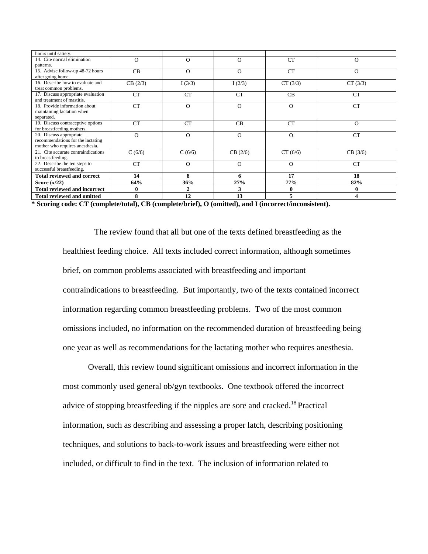| hours until satiety.                |           |                |           |            |           |
|-------------------------------------|-----------|----------------|-----------|------------|-----------|
| 14. Cite normal elimination         | $\Omega$  | O              | $\Omega$  | CT         | $\Omega$  |
| patterns.                           |           |                |           |            |           |
| 15. Advise follow-up 48-72 hours    | CB        | $\Omega$       | $\Omega$  | CT         | $\Omega$  |
| after going home.                   |           |                |           |            |           |
| 16. Describe how to evaluate and    | CB(2/3)   | I(3/3)         | I(2/3)    | CT (3/3)   | CT (3/3)  |
| treat common problems.              |           |                |           |            |           |
| 17. Discuss appropriate evaluation  | <b>CT</b> | <b>CT</b>      | <b>CT</b> | CB         | <b>CT</b> |
| and treatment of mastitis.          |           |                |           |            |           |
| 18. Provide information about       | CT        | $\Omega$       | $\Omega$  | $\Omega$   | <b>CT</b> |
| maintaining lactation when          |           |                |           |            |           |
| separated.                          |           |                |           |            |           |
| 19. Discuss contraceptive options   | <b>CT</b> | CT             | CB        | CT         | $\Omega$  |
| for breastfeeding mothers.          |           |                |           |            |           |
| 20. Discuss appropriate             | $\Omega$  | $\Omega$       | $\Omega$  | $\Omega$   | CT        |
| recommendations for the lactating   |           |                |           |            |           |
| mother who requires anesthesia.     |           |                |           |            |           |
| 21. Cite accurate contraindications | C(6/6)    | C(6/6)         | CB (2/6)  | CT(6/6)    | CB (3/6)  |
| to breastfeeding.                   |           |                |           |            |           |
| 22. Describe the ten steps to       | <b>CT</b> | $\Omega$       | $\Omega$  | $\Omega$   | <b>CT</b> |
| successful breastfeeding.           |           |                |           |            |           |
| <b>Total reviewed and correct</b>   | 14        | 8              | 6         | 17         | 18        |
| Score $(x/22)$                      | 64%       | 36%            | 27%       | <b>77%</b> | 82%       |
| <b>Total reviewed and incorrect</b> | 0         | $\overline{2}$ | 3         | 0          | 0         |
| <b>Total reviewed and omitted</b>   | 8         | 12             | 13        |            | Δ         |

**\* Scoring code: CT (complete/total), CB (complete/brief), O (omitted), and I (incorrect/inconsistent).** 

The review found that all but one of the texts defined breastfeeding as the healthiest feeding choice. All texts included correct information, although sometimes brief, on common problems associated with breastfeeding and important contraindications to breastfeeding. But importantly, two of the texts contained incorrect information regarding common breastfeeding problems. Two of the most common omissions included, no information on the recommended duration of breastfeeding being one year as well as recommendations for the lactating mother who requires anesthesia.

 Overall, this review found significant omissions and incorrect information in the most commonly used general ob/gyn textbooks. One textbook offered the incorrect advice of stopping breastfeeding if the nipples are sore and cracked.<sup>18</sup> Practical information, such as describing and assessing a proper latch, describing positioning techniques, and solutions to back-to-work issues and breastfeeding were either not included, or difficult to find in the text. The inclusion of information related to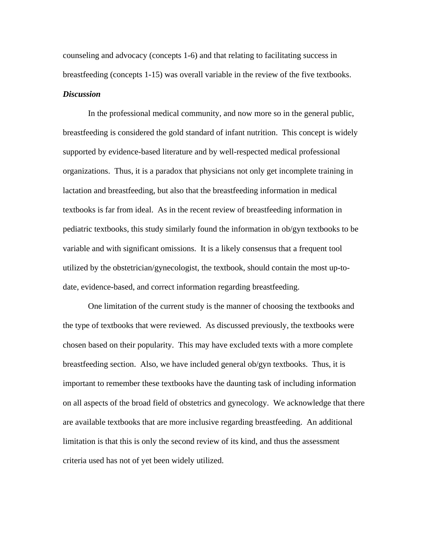counseling and advocacy (concepts 1-6) and that relating to facilitating success in breastfeeding (concepts 1-15) was overall variable in the review of the five textbooks. *Discussion* 

 In the professional medical community, and now more so in the general public, breastfeeding is considered the gold standard of infant nutrition. This concept is widely supported by evidence-based literature and by well-respected medical professional organizations. Thus, it is a paradox that physicians not only get incomplete training in lactation and breastfeeding, but also that the breastfeeding information in medical textbooks is far from ideal. As in the recent review of breastfeeding information in pediatric textbooks, this study similarly found the information in ob/gyn textbooks to be variable and with significant omissions. It is a likely consensus that a frequent tool utilized by the obstetrician/gynecologist, the textbook, should contain the most up-todate, evidence-based, and correct information regarding breastfeeding.

 One limitation of the current study is the manner of choosing the textbooks and the type of textbooks that were reviewed. As discussed previously, the textbooks were chosen based on their popularity. This may have excluded texts with a more complete breastfeeding section. Also, we have included general ob/gyn textbooks. Thus, it is important to remember these textbooks have the daunting task of including information on all aspects of the broad field of obstetrics and gynecology. We acknowledge that there are available textbooks that are more inclusive regarding breastfeeding. An additional limitation is that this is only the second review of its kind, and thus the assessment criteria used has not of yet been widely utilized.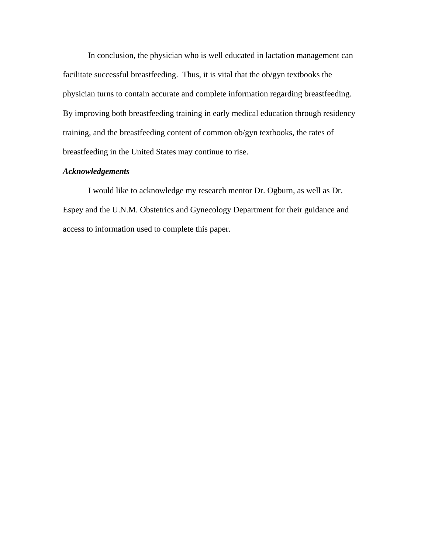In conclusion, the physician who is well educated in lactation management can facilitate successful breastfeeding. Thus, it is vital that the ob/gyn textbooks the physician turns to contain accurate and complete information regarding breastfeeding. By improving both breastfeeding training in early medical education through residency training, and the breastfeeding content of common ob/gyn textbooks, the rates of breastfeeding in the United States may continue to rise.

#### *Acknowledgements*

 I would like to acknowledge my research mentor Dr. Ogburn, as well as Dr. Espey and the U.N.M. Obstetrics and Gynecology Department for their guidance and access to information used to complete this paper.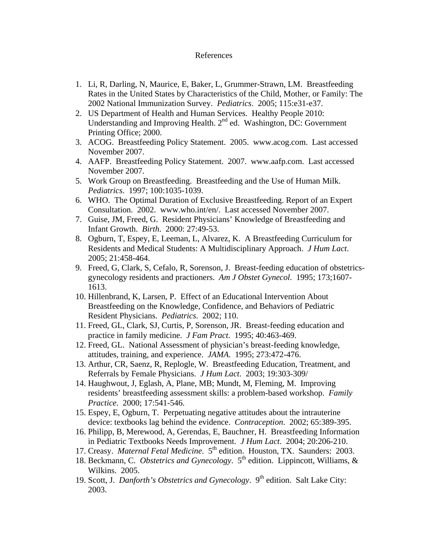#### References

- 1. Li, R, Darling, N, Maurice, E, Baker, L, Grummer-Strawn, LM. Breastfeeding Rates in the United States by Characteristics of the Child, Mother, or Family: The 2002 National Immunization Survey. *Pediatrics*. 2005; 115:e31-e37.
- 2. US Department of Health and Human Services. Healthy People 2010: Understanding and Improving Health. 2<sup>nd</sup> ed. Washington, DC: Government Printing Office; 2000.
- 3. ACOG. Breastfeeding Policy Statement. 2005. [www.acog.com.](http://www.acog.com/) Last accessed November 2007.
- 4. AAFP. Breastfeeding Policy Statement. 2007. [www.aafp.com](http://www.aafp.com/). Last accessed November 2007.
- 5. Work Group on Breastfeeding. Breastfeeding and the Use of Human Milk. *Pediatrics*. 1997; 100:1035-1039.
- 6. WHO. The Optimal Duration of Exclusive Breastfeeding. Report of an Expert Consultation. 2002. [www.who.int/en/.](http://www.who.int/en/) Last accessed November 2007.
- 7. Guise, JM, Freed, G. Resident Physicians' Knowledge of Breastfeeding and Infant Growth. *Birth*. 2000: 27:49-53.
- 8. Ogburn, T, Espey, E, Leeman, L, Alvarez, K. A Breastfeeding Curriculum for Residents and Medical Students: A Multidisciplinary Approach. *J Hum Lact*. 2005; 21:458-464.
- 9. Freed, G, Clark, S, Cefalo, R, Sorenson, J. Breast-feeding education of obstetricsgynecology residents and practioners. *Am J Obstet Gynecol*. 1995; 173;1607- 1613.
- 10. Hillenbrand, K, Larsen, P. Effect of an Educational Intervention About Breastfeeding on the Knowledge, Confidence, and Behaviors of Pediatric Resident Physicians. *Pediatrics*. 2002; 110.
- 11. Freed, GL, Clark, SJ, Curtis, P, Sorenson, JR. Breast-feeding education and practice in family medicine. *J Fam Pract*. 1995; 40:463-469.
- 12. Freed, GL. National Assessment of physician's breast-feeding knowledge, attitudes, training, and experience. *JAMA*. 1995; 273:472-476.
- 13. Arthur, CR, Saenz, R, Replogle, W. Breastfeeding Education, Treatment, and Referrals by Female Physicians. *J Hum Lact*. 2003; 19:303-309/
- 14. Haughwout, J, Eglash, A, Plane, MB; Mundt, M, Fleming, M. Improving residents' breastfeeding assessment skills: a problem-based workshop. *Family Practice*. 2000; 17:541-546.
- 15. Espey, E, Ogburn, T. Perpetuating negative attitudes about the intrauterine device: textbooks lag behind the evidence. *Contraception*. 2002; 65:389-395.
- 16. Philipp, B, Merewood, A, Gerendas, E, Bauchner, H. Breastfeeding Information in Pediatric Textbooks Needs Improvement. *J Hum Lact*. 2004; 20:206-210.
- 17. Creasy. *Maternal Fetal Medicine*. 5<sup>th</sup> edition. Houston, TX. Saunders: 2003.
- 18. Beckmann, C. *Obstetrics and Gynecology*. 5<sup>th</sup> edition. Lippincott, Williams, & Wilkins. 2005.
- 19. Scott, J. *Danforth's Obstetrics and Gynecology*. 9<sup>th</sup> edition. Salt Lake City: 2003.